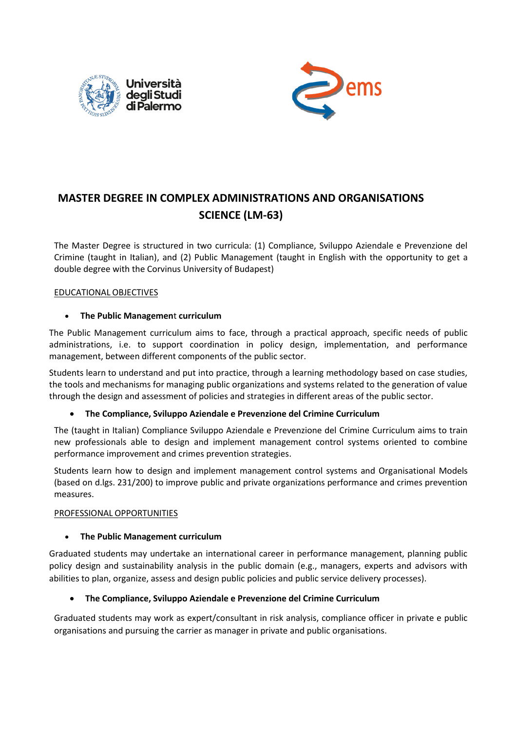



# **MASTER DEGREE IN COMPLEX ADMINISTRATIONS AND ORGANISATIONS SCIENCE (LM-63)**

The Master Degree is structured in two curricula: (1) Compliance, Sviluppo Aziendale e Prevenzione del Crimine (taught in Italian), and (2) Public Management (taught in English with the opportunity to get a double degree with the Corvinus University of Budapest)

#### EDUCATIONAL OBJECTIVES

#### • **The Public Managemen**t **curriculum**

The Public Management curriculum aims to face, through a practical approach, specific needs of public administrations, i.e. to support coordination in policy design, implementation, and performance management, between different components of the public sector.

Students learn to understand and put into practice, through a learning methodology based on case studies, the tools and mechanisms for managing public organizations and systems related to the generation of value through the design and assessment of policies and strategies in different areas of the public sector.

#### • **The Compliance, Sviluppo Aziendale e Prevenzione del Crimine Curriculum**

The (taught in Italian) Compliance Sviluppo Aziendale e Prevenzione del Crimine Curriculum aims to train new professionals able to design and implement management control systems oriented to combine performance improvement and crimes prevention strategies.

Students learn how to design and implement management control systems and Organisational Models (based on d.lgs. 231/200) to improve public and private organizations performance and crimes prevention measures.

#### PROFESSIONAL OPPORTUNITIES

#### • **The Public Management curriculum**

Graduated students may undertake an international career in performance management, planning public policy design and sustainability analysis in the public domain (e.g., managers, experts and advisors with abilities to plan, organize, assess and design public policies and public service delivery processes).

### • **The Compliance, Sviluppo Aziendale e Prevenzione del Crimine Curriculum**

Graduated students may work as expert/consultant in risk analysis, compliance officer in private e public organisations and pursuing the carrier as manager in private and public organisations.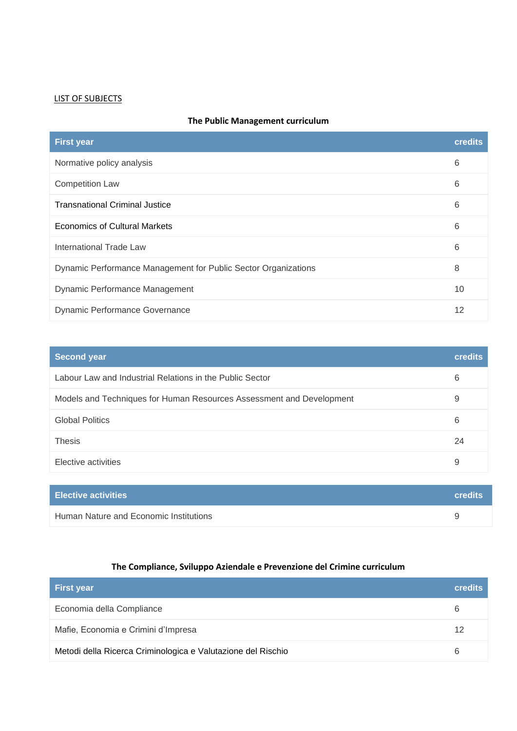## LIST OF SUBJECTS

| The Public Management curriculum |
|----------------------------------|
|----------------------------------|

| <b>First year</b>                                              | credits |
|----------------------------------------------------------------|---------|
| Normative policy analysis                                      | 6       |
| <b>Competition Law</b>                                         | 6       |
| <b>Transnational Criminal Justice</b>                          | 6       |
| <b>Economics of Cultural Markets</b>                           | 6       |
| International Trade Law                                        | 6       |
| Dynamic Performance Management for Public Sector Organizations | 8       |
| Dynamic Performance Management                                 | 10      |
| Dynamic Performance Governance                                 | 12      |

| <b>Second year</b>                                                   | <b>credits</b> |
|----------------------------------------------------------------------|----------------|
| Labour Law and Industrial Relations in the Public Sector             | 6              |
| Models and Techniques for Human Resources Assessment and Development | 9              |
| <b>Global Politics</b>                                               | 6              |
| <b>Thesis</b>                                                        | 24             |
| Elective activities                                                  | 9              |

| <b>Elective activities</b>             | <b>credits</b> |
|----------------------------------------|----------------|
| Human Nature and Economic Institutions |                |

## **The Compliance, Sviluppo Aziendale e Prevenzione del Crimine curriculum**

| <b>First year</b>                                            | <b>credits</b> |
|--------------------------------------------------------------|----------------|
| Economia della Compliance                                    | 6              |
| Mafie, Economia e Crimini d'Impresa                          | 12             |
| Metodi della Ricerca Criminologica e Valutazione del Rischio | 6              |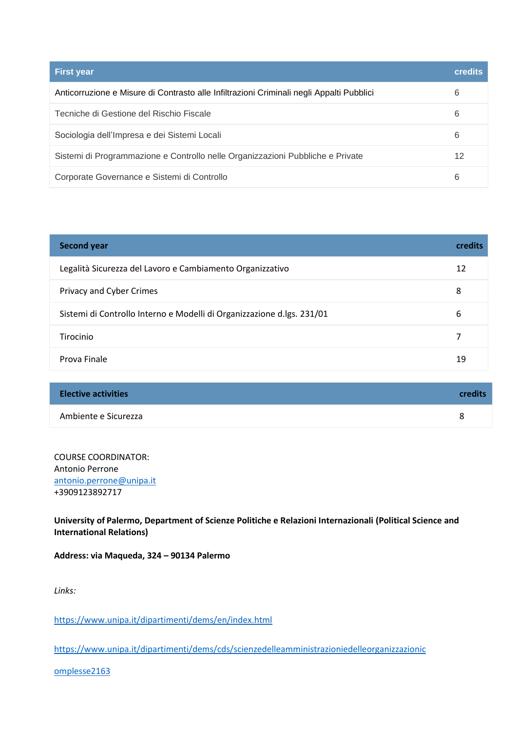| <b>First year</b>                                                                        | <b>credits</b> |
|------------------------------------------------------------------------------------------|----------------|
| Anticorruzione e Misure di Contrasto alle Infiltrazioni Criminali negli Appalti Pubblici | 6              |
| Tecniche di Gestione del Rischio Fiscale                                                 | 6              |
| Sociologia dell'Impresa e dei Sistemi Locali                                             | 6              |
| Sistemi di Programmazione e Controllo nelle Organizzazioni Pubbliche e Private           | 12             |
| Corporate Governance e Sistemi di Controllo                                              | 6              |

| <b>Second year</b>                                                     | credits |
|------------------------------------------------------------------------|---------|
| Legalità Sicurezza del Lavoro e Cambiamento Organizzativo              | 12      |
| Privacy and Cyber Crimes                                               | 8       |
| Sistemi di Controllo Interno e Modelli di Organizzazione d.lgs. 231/01 | 6       |
| Tirocinio                                                              | 7       |
| Prova Finale                                                           | 19      |

| <b>Elective activities</b> | credits |
|----------------------------|---------|
| Ambiente e Sicurezza       | я       |

COURSE COORDINATOR: Antonio Perrone [antonio.perrone@unipa.it](mailto:antonio.perrone@unipa.it) +3909123892717

**University of Palermo, Department of Scienze Politiche e Relazioni Internazionali (Political Science and International Relations)** 

**Address: via Maqueda, 324 – 90134 Palermo** 

*Links:* 

<https://www.unipa.it/dipartimenti/dems/en/index.html>

[https://www.unipa.it/dipartimenti/dems/cds/scienzedelleamministrazioniedelleorganizzazionic](https://www.unipa.it/dipartimenti/dems/cds/scienzedelleamministrazioniedelleorganizzazionicomplesse2163)

[omplesse2163](https://www.unipa.it/dipartimenti/dems/cds/scienzedelleamministrazioniedelleorganizzazionicomplesse2163)